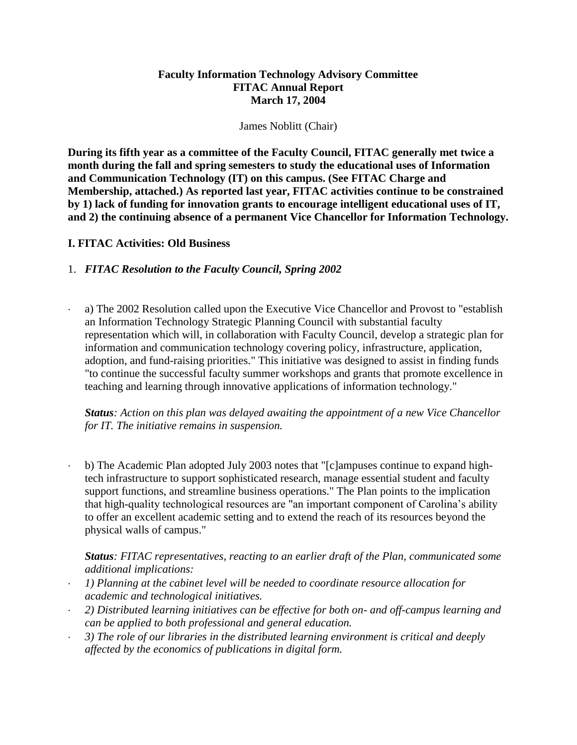### **Faculty Information Technology Advisory Committee FITAC Annual Report March 17, 2004**

#### James Noblitt (Chair)

**During its fifth year as a committee of the Faculty Council, FITAC generally met twice a month during the fall and spring semesters to study the educational uses of Information and Communication Technology (IT) on this campus. (See FITAC Charge and Membership, attached.) As reported last year, FITAC activities continue to be constrained by 1) lack of funding for innovation grants to encourage intelligent educational uses of IT, and 2) the continuing absence of a permanent Vice Chancellor for Information Technology.** 

## **I. FITAC Activities: Old Business**

## 1. *FITAC Resolution to the Faculty Council, Spring 2002*

 a) The 2002 Resolution called upon the Executive Vice Chancellor and Provost to "establish an Information Technology Strategic Planning Council with substantial faculty representation which will, in collaboration with Faculty Council, develop a strategic plan for information and communication technology covering policy, infrastructure, application, adoption, and fund-raising priorities." This initiative was designed to assist in finding funds "to continue the successful faculty summer workshops and grants that promote excellence in teaching and learning through innovative applications of information technology."

*Status: Action on this plan was delayed awaiting the appointment of a new Vice Chancellor for IT. The initiative remains in suspension.* 

 b) The Academic Plan adopted July 2003 notes that "[c]ampuses continue to expand hightech infrastructure to support sophisticated research, manage essential student and faculty support functions, and streamline business operations." The Plan points to the implication that high-quality technological resources are "an important component of Carolina's ability to offer an excellent academic setting and to extend the reach of its resources beyond the physical walls of campus."

*Status: FITAC representatives, reacting to an earlier draft of the Plan, communicated some additional implications:* 

- *1) Planning at the cabinet level will be needed to coordinate resource allocation for academic and technological initiatives.*
- *2) Distributed learning initiatives can be effective for both on- and off-campus learning and can be applied to both professional and general education.*
- *3) The role of our libraries in the distributed learning environment is critical and deeply affected by the economics of publications in digital form.*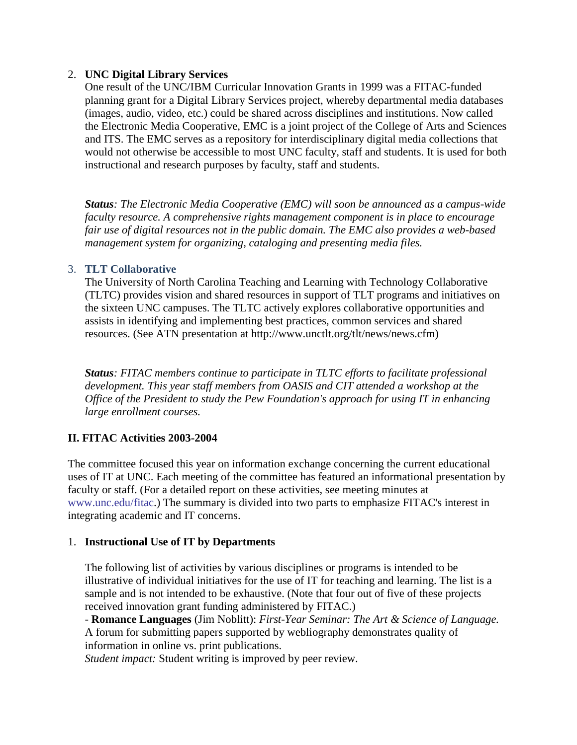## 2. **UNC Digital Library Services**

One result of the UNC/IBM Curricular Innovation Grants in 1999 was a FITAC-funded planning grant for a Digital Library Services project, whereby departmental media databases (images, audio, video, etc.) could be shared across disciplines and institutions. Now called the Electronic Media Cooperative, EMC is a joint project of the College of Arts and Sciences and ITS. The EMC serves as a repository for interdisciplinary digital media collections that would not otherwise be accessible to most UNC faculty, staff and students. It is used for both instructional and research purposes by faculty, staff and students.

*Status: The Electronic Media Cooperative (EMC) will soon be announced as a campus-wide faculty resource. A comprehensive rights management component is in place to encourage fair use of digital resources not in the public domain. The EMC also provides a web-based management system for organizing, cataloging and presenting media files.*

## 3. **TLT Collaborative**

The University of North Carolina Teaching and Learning with Technology Collaborative (TLTC) provides vision and shared resources in support of TLT programs and initiatives on the sixteen UNC campuses. The TLTC actively explores collaborative opportunities and assists in identifying and implementing best practices, common services and shared resources. (See ATN presentation at http://www.unctlt.org/tlt/news/news.cfm)

*Status: FITAC members continue to participate in TLTC efforts to facilitate professional development. This year staff members from OASIS and CIT attended a workshop at the Office of the President to study the Pew Foundation's approach for using IT in enhancing large enrollment courses.*

# **II. FITAC Activities 2003-2004**

The committee focused this year on information exchange concerning the current educational uses of IT at UNC. Each meeting of the committee has featured an informational presentation by faculty or staff. (For a detailed report on these activities, see meeting minutes at [www.unc.edu/fitac.](http://www.unc.edu/fitac)) The summary is divided into two parts to emphasize FITAC's interest in integrating academic and IT concerns.

# 1. **Instructional Use of IT by Departments**

The following list of activities by various disciplines or programs is intended to be illustrative of individual initiatives for the use of IT for teaching and learning. The list is a sample and is not intended to be exhaustive. (Note that four out of five of these projects received innovation grant funding administered by FITAC.)

- **Romance Languages** (Jim Noblitt): *First-Year Seminar: The Art & Science of Language.*  A forum for submitting papers supported by webliography demonstrates quality of information in online vs. print publications.

*Student impact:* Student writing is improved by peer review.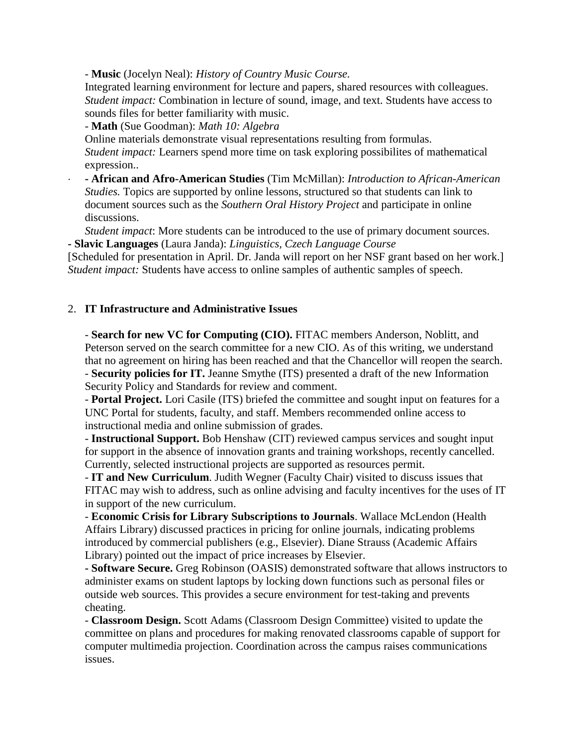- **Music** (Jocelyn Neal): *History of Country Music Course.*

Integrated learning environment for lecture and papers, shared resources with colleagues. *Student impact:* Combination in lecture of sound, image, and text. Students have access to sounds files for better familiarity with music.

- **Math** (Sue Goodman): *Math 10: Algebra*

Online materials demonstrate visual representations resulting from formulas. *Student impact:* Learners spend more time on task exploring possibilites of mathematical expression..

 **- African and Afro-American Studies** (Tim McMillan): *Introduction to African-American Studies.* Topics are supported by online lessons, structured so that students can link to document sources such as the *Southern Oral History Project* and participate in online discussions.

*Student impact*: More students can be introduced to the use of primary document sources. **- Slavic Languages** (Laura Janda): *Linguistics, Czech Language Course*

[Scheduled for presentation in April. Dr. Janda will report on her NSF grant based on her work.] *Student impact:* Students have access to online samples of authentic samples of speech.

#### 2. **IT Infrastructure and Administrative Issues**

- **Search for new VC for Computing (CIO).** FITAC members Anderson, Noblitt, and Peterson served on the search committee for a new CIO. As of this writing, we understand that no agreement on hiring has been reached and that the Chancellor will reopen the search. - **Security policies for IT.** Jeanne Smythe (ITS) presented a draft of the new Information Security Policy and Standards for review and comment.

- **Portal Project.** Lori Casile (ITS) briefed the committee and sought input on features for a UNC Portal for students, faculty, and staff. Members recommended online access to instructional media and online submission of grades.

- **Instructional Support.** Bob Henshaw (CIT) reviewed campus services and sought input for support in the absence of innovation grants and training workshops, recently cancelled. Currently, selected instructional projects are supported as resources permit.

- **IT and New Curriculum**. Judith Wegner (Faculty Chair) visited to discuss issues that FITAC may wish to address, such as online advising and faculty incentives for the uses of IT in support of the new curriculum.

- **Economic Crisis for Library Subscriptions to Journals**. Wallace McLendon (Health Affairs Library) discussed practices in pricing for online journals, indicating problems introduced by commercial publishers (e.g., Elsevier). Diane Strauss (Academic Affairs Library) pointed out the impact of price increases by Elsevier.

**- Software Secure.** Greg Robinson (OASIS) demonstrated software that allows instructors to administer exams on student laptops by locking down functions such as personal files or outside web sources. This provides a secure environment for test-taking and prevents cheating.

- **Classroom Design.** Scott Adams (Classroom Design Committee) visited to update the committee on plans and procedures for making renovated classrooms capable of support for computer multimedia projection. Coordination across the campus raises communications issues.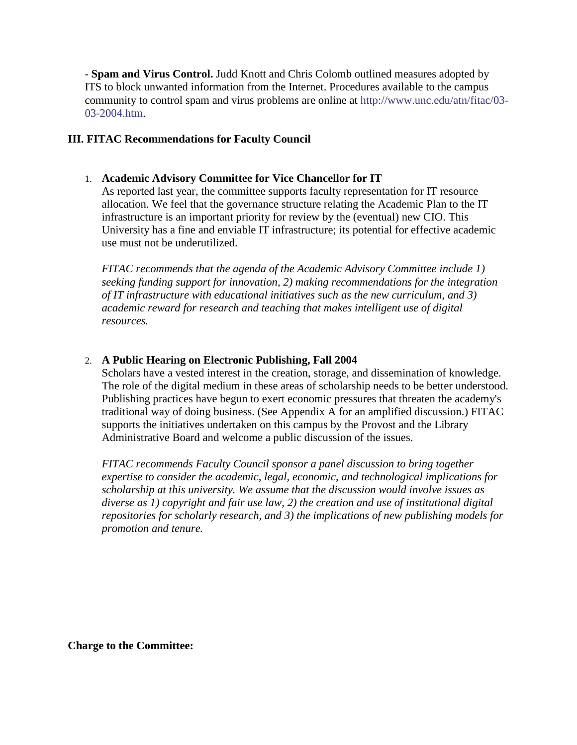- **Spam and Virus Control.** Judd Knott and Chris Colomb outlined measures adopted by ITS to block unwanted information from the Internet. Procedures available to the campus community to control spam and virus problems are online at [http://www.unc.edu/atn/fitac/03-](http://www.unc.edu/atn/fitac/03-03-2004.htm) [03-2004.htm.](http://www.unc.edu/atn/fitac/03-03-2004.htm)

## **III. FITAC Recommendations for Faculty Council**

## 1. **Academic Advisory Committee for Vice Chancellor for IT**

As reported last year, the committee supports faculty representation for IT resource allocation. We feel that the governance structure relating the Academic Plan to the IT infrastructure is an important priority for review by the (eventual) new CIO. This University has a fine and enviable IT infrastructure; its potential for effective academic use must not be underutilized.

*FITAC recommends that the agenda of the Academic Advisory Committee include 1) seeking funding support for innovation, 2) making recommendations for the integration of IT infrastructure with educational initiatives such as the new curriculum, and 3) academic reward for research and teaching that makes intelligent use of digital resources.*

# 2. **A Public Hearing on Electronic Publishing, Fall 2004**

Scholars have a vested interest in the creation, storage, and dissemination of knowledge. The role of the digital medium in these areas of scholarship needs to be better understood. Publishing practices have begun to exert economic pressures that threaten the academy's traditional way of doing business. (See Appendix A for an amplified discussion.) FITAC supports the initiatives undertaken on this campus by the Provost and the Library Administrative Board and welcome a public discussion of the issues.

*FITAC recommends Faculty Council sponsor a panel discussion to bring together expertise to consider the academic, legal, economic, and technological implications for scholarship at this university. We assume that the discussion would involve issues as diverse as 1) copyright and fair use law, 2) the creation and use of institutional digital repositories for scholarly research, and 3) the implications of new publishing models for promotion and tenure.*

**Charge to the Committee:**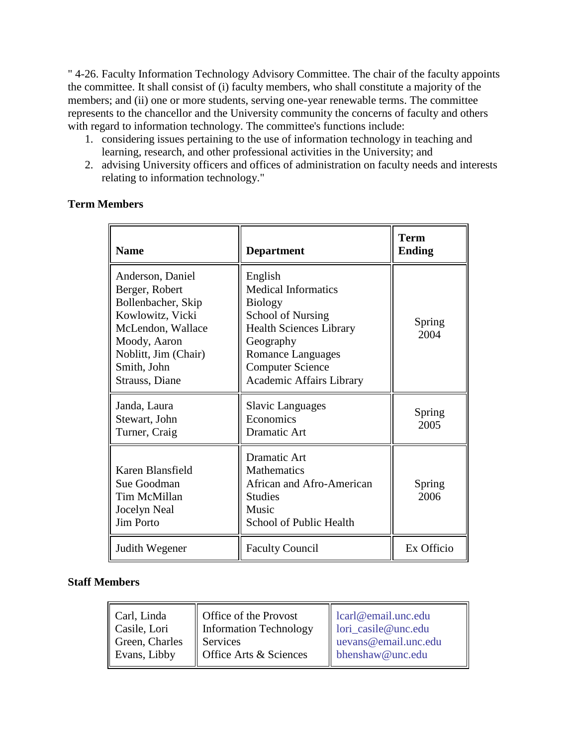" 4-26. Faculty Information Technology Advisory Committee. The chair of the faculty appoints the committee. It shall consist of (i) faculty members, who shall constitute a majority of the members; and (ii) one or more students, serving one-year renewable terms. The committee represents to the chancellor and the University community the concerns of faculty and others with regard to information technology. The committee's functions include:

- 1. considering issues pertaining to the use of information technology in teaching and learning, research, and other professional activities in the University; and
- 2. advising University officers and offices of administration on faculty needs and interests relating to information technology."

# **Term Members**

| <b>Name</b>                                                                                                                                                                | <b>Department</b>                                                                                                                                                                                                     | <b>Term</b><br><b>Ending</b> |
|----------------------------------------------------------------------------------------------------------------------------------------------------------------------------|-----------------------------------------------------------------------------------------------------------------------------------------------------------------------------------------------------------------------|------------------------------|
| Anderson, Daniel<br>Berger, Robert<br>Bollenbacher, Skip<br>Kowlowitz, Vicki<br>McLendon, Wallace<br>Moody, Aaron<br>Noblitt, Jim (Chair)<br>Smith, John<br>Strauss, Diane | English<br><b>Medical Informatics</b><br><b>Biology</b><br><b>School of Nursing</b><br><b>Health Sciences Library</b><br>Geography<br>Romance Languages<br><b>Computer Science</b><br><b>Academic Affairs Library</b> | Spring<br>2004               |
| Janda, Laura<br>Stewart, John<br>Turner, Craig                                                                                                                             | <b>Slavic Languages</b><br>Economics<br><b>Dramatic Art</b>                                                                                                                                                           | Spring<br>2005               |
| Karen Blansfield<br>Sue Goodman<br>Tim McMillan<br>Jocelyn Neal<br><b>Jim Porto</b>                                                                                        | <b>Dramatic Art</b><br><b>Mathematics</b><br>African and Afro-American<br><b>Studies</b><br>Music<br>School of Public Health                                                                                          | Spring<br>2006               |
| Judith Wegener                                                                                                                                                             | <b>Faculty Council</b>                                                                                                                                                                                                | Ex Officio                   |

# **Staff Members**

| Carl, Linda<br>Casile, Lori | Office of the Provost<br><b>Information Technology</b> | $\alpha$ learl@email.unc.edu<br>lori_casile@unc.edu |
|-----------------------------|--------------------------------------------------------|-----------------------------------------------------|
| Green, Charles              | Services                                               | uevans@email.unc.edu                                |
| Evans, Libby                | Office Arts & Sciences                                 | bhenshaw@unc.edu                                    |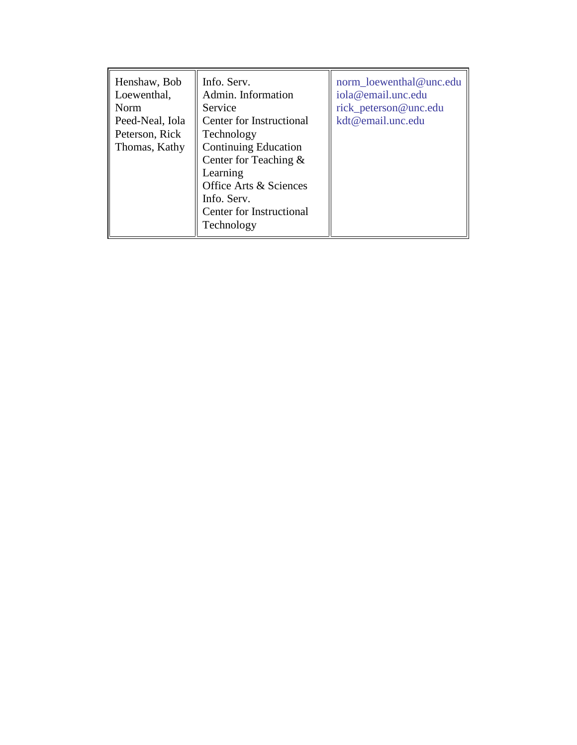| Henshaw, Bob<br>Loewenthal,<br>Norm<br>Peed-Neal, Iola<br>Peterson, Rick<br>Thomas, Kathy | Info. Serv.<br>Admin. Information<br>Service<br>Center for Instructional<br>Technology<br><b>Continuing Education</b><br>Center for Teaching $\&$<br>Learning<br>Office Arts & Sciences<br>Info. Serv.<br>Center for Instructional | norm loewenthal@unc.edu<br>iola@email.unc.edu<br>rick_peterson@unc.edu<br>kdt@email.unc.edu |
|-------------------------------------------------------------------------------------------|------------------------------------------------------------------------------------------------------------------------------------------------------------------------------------------------------------------------------------|---------------------------------------------------------------------------------------------|
|                                                                                           | Technology                                                                                                                                                                                                                         |                                                                                             |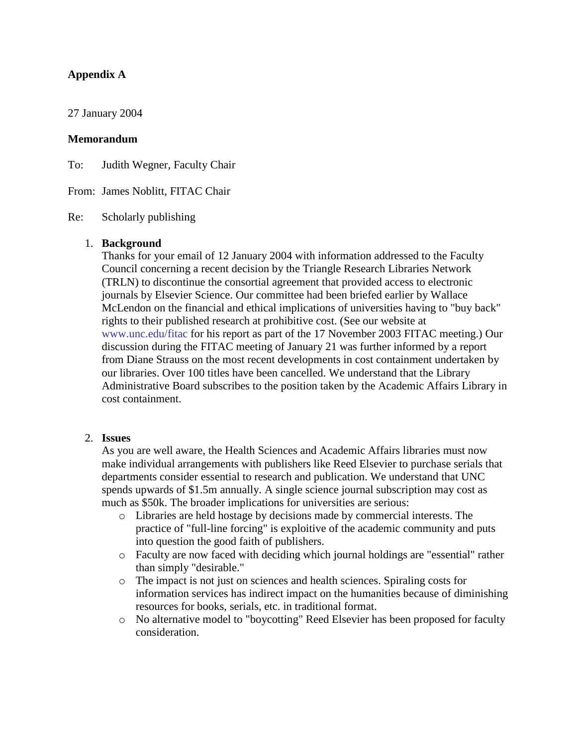# **Appendix A**

27 January 2004

#### **Memorandum**

To: Judith Wegner, Faculty Chair

From: James Noblitt, FITAC Chair

Re: Scholarly publishing

#### 1. **Background**

Thanks for your email of 12 January 2004 with information addressed to the Faculty Council concerning a recent decision by the Triangle Research Libraries Network (TRLN) to discontinue the consortial agreement that provided access to electronic journals by Elsevier Science. Our committee had been briefed earlier by Wallace McLendon on the financial and ethical implications of universities having to "buy back" rights to their published research at prohibitive cost. (See our website at [www.unc.edu/fitac](http://www.unc.edu/fitac) for his report as part of the 17 November 2003 FITAC meeting.) Our discussion during the FITAC meeting of January 21 was further informed by a report from Diane Strauss on the most recent developments in cost containment undertaken by our libraries. Over 100 titles have been cancelled. We understand that the Library Administrative Board subscribes to the position taken by the Academic Affairs Library in cost containment.

#### 2. **Issues**

As you are well aware, the Health Sciences and Academic Affairs libraries must now make individual arrangements with publishers like Reed Elsevier to purchase serials that departments consider essential to research and publication. We understand that UNC spends upwards of \$1.5m annually. A single science journal subscription may cost as much as \$50k. The broader implications for universities are serious:

- o Libraries are held hostage by decisions made by commercial interests. The practice of "full-line forcing" is exploitive of the academic community and puts into question the good faith of publishers.
- o Faculty are now faced with deciding which journal holdings are "essential" rather than simply "desirable."
- o The impact is not just on sciences and health sciences. Spiraling costs for information services has indirect impact on the humanities because of diminishing resources for books, serials, etc. in traditional format.
- o No alternative model to "boycotting" Reed Elsevier has been proposed for faculty consideration.